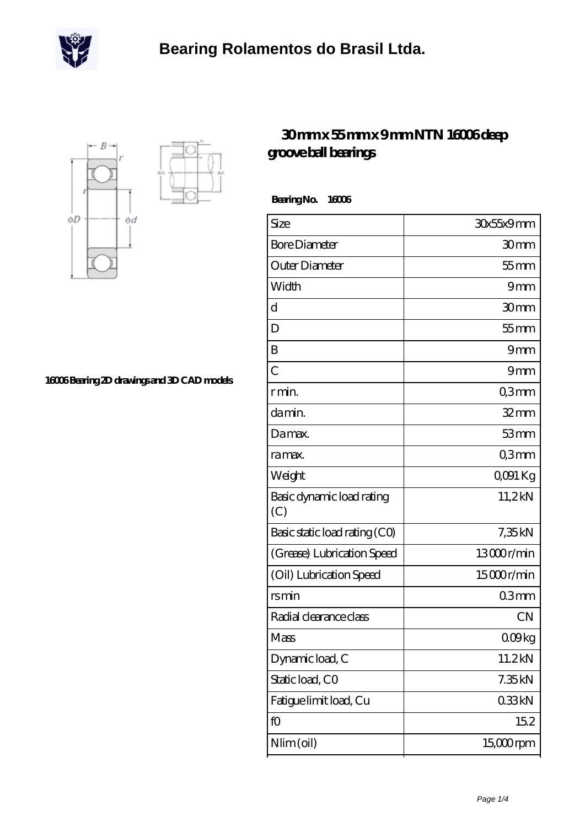



**[16006 Bearing 2D drawings and 3D CAD models](https://m.scottrobertalexander.com/pic-539619.html)**

## **[30 mm x 55 mm x 9 mm NTN 16006 deep](https://m.scottrobertalexander.com/ntn-16006-bearing/) [groove ball bearings](https://m.scottrobertalexander.com/ntn-16006-bearing/)**

 **Bearing No. 16006**

| Size                             | 30x55x9mm    |
|----------------------------------|--------------|
| <b>Bore Diameter</b>             | 30mm         |
| Outer Diameter                   | $55$ mm      |
| Width                            | 9mm          |
| d                                | 30mm         |
| D                                | $55$ mm      |
| B                                | 9mm          |
| $\overline{C}$                   | 9mm          |
| r min.                           | Q3mm         |
| damin.                           | $32$ mm      |
| Damax.                           | 53mm         |
| ra max.                          | Q3mm         |
| Weight                           | QO91 Kg      |
| Basic dynamic load rating<br>(C) | 11,2kN       |
| Basic static load rating (CO)    | 7,35kN       |
| (Grease) Lubrication Speed       | 13000r/min   |
| (Oil) Lubrication Speed          | 15000r/min   |
| rsmin                            | 03mm         |
| Radial clearance class           | <b>CN</b>    |
| Mass                             | 009kg        |
| Dynamic load, C                  | 11.2kN       |
| Static load, CO                  | 7.35kN       |
| Fatigue limit load, Cu           | 033kN        |
| fO                               | 152          |
| Nlim (oil)                       | $15,000$ rpm |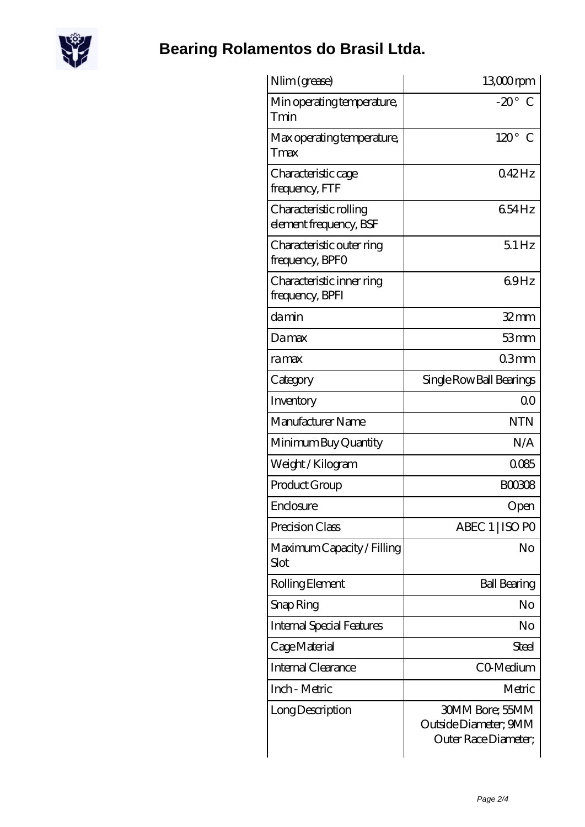

## **[Bearing Rolamentos do Brasil Ltda.](https://m.scottrobertalexander.com)**

| Nlim (grease)                                    | 13,000rpm                                                               |
|--------------------------------------------------|-------------------------------------------------------------------------|
| Min operating temperature,<br>Tmin               | $-20^\circ$ C                                                           |
| Max operating temperature,<br>Tmax               | $120^\circ$ C                                                           |
| Characteristic cage<br>frequency, FTF            | 042Hz                                                                   |
| Characteristic rolling<br>element frequency, BSF | 654Hz                                                                   |
| Characteristic outer ring<br>frequency, BPFO     | 51Hz                                                                    |
| Characteristic inner ring<br>frequency, BPFI     | 69Hz                                                                    |
| damin                                            | $32 \text{mm}$                                                          |
| Damax                                            | 53mm                                                                    |
| ramax                                            | 03 <sub>mm</sub>                                                        |
| Category                                         | Single Row Ball Bearings                                                |
| Inventory                                        | 0 <sub>0</sub>                                                          |
| Manufacturer Name                                | <b>NTN</b>                                                              |
| Minimum Buy Quantity                             | N/A                                                                     |
| Weight / Kilogram                                | 0085                                                                    |
| Product Group                                    | <b>BOO3O8</b>                                                           |
| Enclosure                                        | Open                                                                    |
| Precision Class                                  | ABEC 1   ISO PO                                                         |
| Maximum Capacity / Filling<br>Slot               | No                                                                      |
| Rolling Element                                  | <b>Ball Bearing</b>                                                     |
| Snap Ring                                        | No                                                                      |
| <b>Internal Special Features</b>                 | No                                                                      |
| Cage Material                                    | Steel                                                                   |
| Internal Clearance                               | CO-Medium                                                               |
| Inch - Metric                                    | Metric                                                                  |
| Long Description                                 | <b>30MM Bore; 55MM</b><br>Outside Diameter; 9MM<br>Outer Race Diameter; |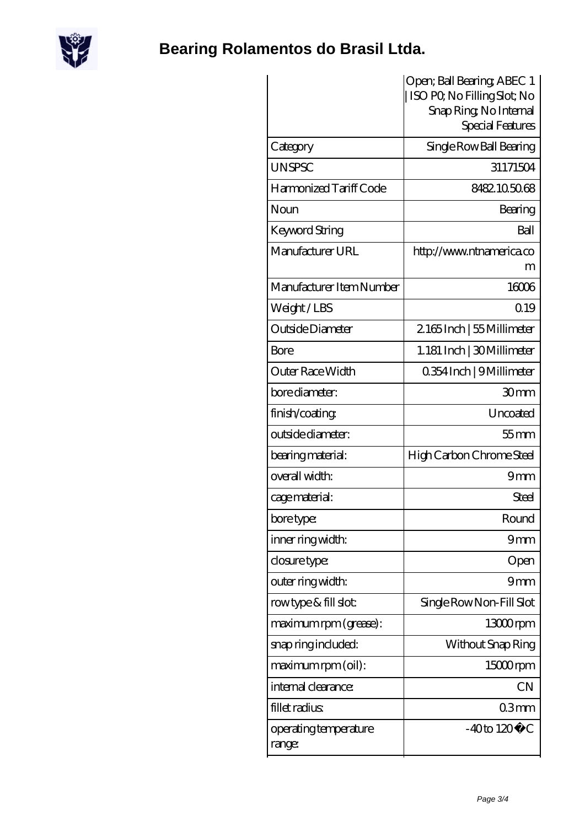

## **[Bearing Rolamentos do Brasil Ltda.](https://m.scottrobertalexander.com)**

|                                 | Open; Ball Bearing; ABEC 1<br>ISO PO, No Filling Slot; No<br>Snap Ring, No Internal<br>Special Features |
|---------------------------------|---------------------------------------------------------------------------------------------------------|
| Category                        | Single Row Ball Bearing                                                                                 |
| <b>UNSPSC</b>                   | 31171504                                                                                                |
| Harmonized Tariff Code          | 8482.105068                                                                                             |
| Noun                            | Bearing                                                                                                 |
| Keyword String                  | Ball                                                                                                    |
| Manufacturer URL                | http://www.ntnamerica.co<br>m                                                                           |
| Manufacturer Item Number        | 16006                                                                                                   |
| Weight/LBS                      | 0.19                                                                                                    |
| Outside Diameter                | 2165Inch   55 Millimeter                                                                                |
| Bore                            | 1.181 Inch   30 Millimeter                                                                              |
| Outer Race Width                | 0.354 Inch   9 Millimeter                                                                               |
| bore diameter:                  | 30 <sub>mm</sub>                                                                                        |
| finish/coating                  | Uncoated                                                                                                |
| outside diameter:               | $55$ mm                                                                                                 |
| bearing material:               | High Carbon Chrome Steel                                                                                |
| overall width:                  | 9mm                                                                                                     |
| cage material:                  | <b>Steel</b>                                                                                            |
| bore type:                      | Round                                                                                                   |
| inner ring width:               | 9mm                                                                                                     |
| closure type:                   | Open                                                                                                    |
| outer ring width:               | 9mm                                                                                                     |
| rowtype & fill slot:            | Single Row Non-Fill Slot                                                                                |
| maximum rpm (grease):           | $1300$ rpm                                                                                              |
| snap ring included:             | Without Snap Ring                                                                                       |
| maximum rpm (oil):              | 15000rpm                                                                                                |
| internal clearance:             | <b>CN</b>                                                                                               |
| fillet radius                   | 03 <sub>mm</sub>                                                                                        |
| operating temperature<br>range: | $-40$ to $120^{\circ}$ C                                                                                |